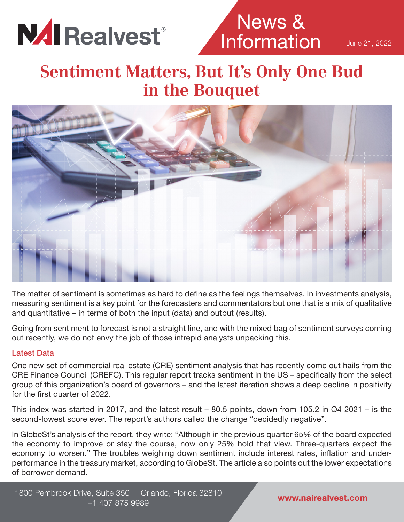

News & **Information** 

June 21, 2022

## **Sentiment Matters, But It's Only One Bud in the Bouquet**



The matter of sentiment is sometimes as hard to define as the feelings themselves. In investments analysis, measuring sentiment is a key point for the forecasters and commentators but one that is a mix of qualitative and quantitative – in terms of both the input (data) and output (results).

Going from sentiment to forecast is not a straight line, and with the mixed bag of sentiment surveys coming out recently, we do not envy the job of those intrepid analysts unpacking this.

#### Latest Data

One new set of commercial real estate (CRE) sentiment analysis that has recently come out hails from the CRE Finance Council (CREFC). This regular report tracks sentiment in the US – specifically from the select group of this organization's board of governors – and the latest iteration shows a deep decline in positivity for the first quarter of 2022.

This index was started in 2017, and the latest result – 80.5 points, down from 105.2 in Q4 2021 – is the second-lowest score ever. The report's authors called the change "decidedly negative".

In GlobeSt's analysis of the report, they write: "Although in the previous quarter 65% of the board expected the economy to improve or stay the course, now only 25% hold that view. Three-quarters expect the economy to worsen." The troubles weighing down sentiment include interest rates, inflation and underperformance in the treasury market, according to GlobeSt. The article also points out the lower expectations of borrower demand.